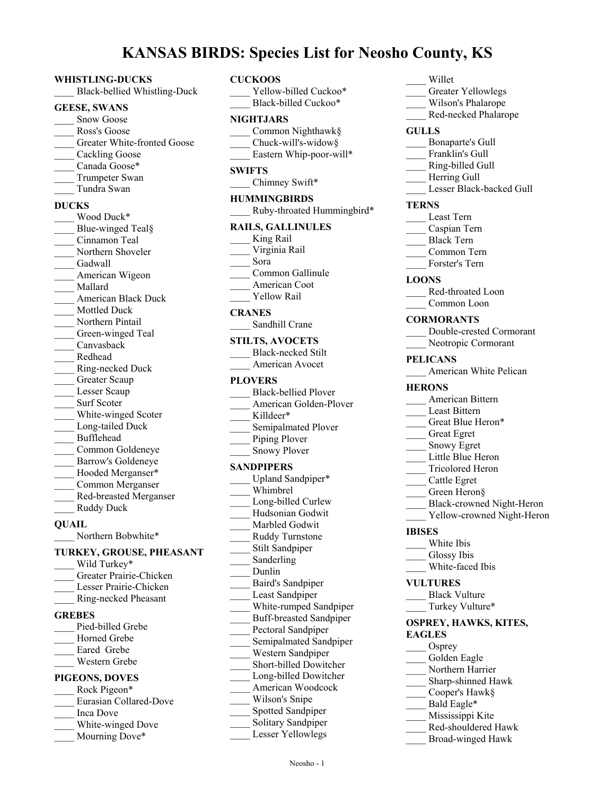# **KANSAS BIRDS: Species List for Neosho County, KS**

#### **WHISTLING-DUCKS**

\_\_\_\_ Black-bellied Whistling-Duck

#### **GEESE, SWANS**

- Snow Goose
- Ross's Goose
- Greater White-fronted Goose
- Cackling Goose
- Canada Goose\*
- Trumpeter Swan
- \_\_\_\_ Tundra Swan

#### **DUCKS**

Wood Duck\* Blue-winged Teal§ \_\_\_\_ Cinnamon Teal Northern Shoveler Gadwall American Wigeon \_\_\_\_ Mallard \_\_\_\_ American Black Duck Mottled Duck Northern Pintail Green-winged Teal \_\_\_\_ Canvasback \_\_\_\_ Redhead \_\_\_\_ Ring-necked Duck Greater Scaup Lesser Scaup Surf Scoter White-winged Scoter Long-tailed Duck \_\_\_\_ Bufflehead \_\_\_\_ Common Goldeneye \_\_\_\_ Barrow's Goldeneye Hooded Merganser\* \_\_\_\_ Common Merganser \_\_\_\_ Red-breasted Merganser Ruddy Duck **QUAIL**

#### Northern Bobwhite\*

### **TURKEY, GROUSE, PHEASANT**

- Wild Turkey\* \_\_\_\_ Greater Prairie-Chicken Lesser Prairie-Chicken \_\_\_\_ Ring-necked Pheasant **GREBES** Pied-billed Grebe Horned Grebe Eared Grebe \_\_\_\_ Western Grebe **PIGEONS, DOVES** Rock Pigeon\* \_\_\_\_ Eurasian Collared-Dove \_\_\_\_ Inca Dove White-winged Dove
- Mourning Dove\*

#### **CUCKOOS**

|               | Yellow-billed Cuckoo*      |
|---------------|----------------------------|
|               | Black-billed Cuckoo*       |
|               | <b>NIGHTJARS</b>           |
|               | Common Nighthawk§          |
|               | Chuck-will's-widow§        |
|               | Eastern Whip-poor-will*    |
| <b>SWIFTS</b> |                            |
|               | Chimney Swift*             |
|               | <b>HUMMINGBIRDS</b>        |
|               | Ruby-throated Hummingbird* |

#### **RAILS, GALLINULES**

- King Rail \_\_\_\_ Virginia Rail
- \_\_\_\_ Sora
- \_\_\_\_ Common Gallinule
- American Coot
- Yellow Rail

#### **CRANES**

Sandhill Crane

#### **STILTS, AVOCETS**

| Black-necked Stilt |
|--------------------|
| American Avocet    |
|                    |

## **PLOVERS**

| <b>Black-bellied Plover</b>    |
|--------------------------------|
| American Golden-Plover         |
| Killdeer*                      |
| Semipalmated Plover            |
| Piping Plover                  |
| <b>Snowy Plover</b>            |
| SANDPIPERS                     |
| Upland Sandpiper*              |
| Whimbrel                       |
| Long-billed Curlew             |
| Hudsonian Godwit               |
| Marbled Godwit                 |
| Ruddy Turnstone                |
| Stilt Sandpiper                |
| Sanderling                     |
| Dunlin                         |
| Baird's Sandpiper              |
| Least Sandpiper                |
| White-rumped Sandpiper         |
| <b>Buff-breasted Sandpiper</b> |
| Pectoral Sandpiper             |
| Semipalmated Sandpiper         |
| Western Sandpiper              |
| Short-billed Dowitcher         |
| Long-billed Dowitcher          |

### \_\_\_\_ Willet

- Greater Yellowlegs
- \_\_\_\_ Wilson's Phalarope
- \_\_\_\_ Red-necked Phalarope

#### **GULLS**

- \_\_\_\_ Bonaparte's Gull
- Franklin's Gull
- \_\_\_\_ Ring-billed Gull
- Herring Gull
- Lesser Black-backed Gull

#### **TERNS**

|  | east Tern |
|--|-----------|
|  |           |

- \_\_\_\_ Caspian Tern
- \_\_\_\_ Black Tern
- \_\_\_\_ Common Tern
- \_\_\_\_ Forster's Tern

#### **LOONS**

Red-throated Loon Common Loon

#### **CORMORANTS**

- \_\_\_\_ Double-crested Cormorant Neotropic Cormorant
- 

## **PELICANS**

American White Pelican

#### **HERONS**

- \_\_\_\_ American Bittern
- Least Bittern
- Great Blue Heron\*
	- \_\_\_\_ Great Egret
- Snowy Egret
- Little Blue Heron
- \_\_\_\_ Tricolored Heron
	- \_\_\_\_ Cattle Egret
- Green Heron§
- \_\_\_\_ Black-crowned Night-Heron
- Yellow-crowned Night-Heron

#### **IBISES**

- \_\_\_\_ White Ibis
- Glossy Ibis
- White-faced Ibis

#### **VULTURES**

- Black Vulture Turkey Vulture\*
- 

#### **OSPREY, HAWKS, KITES, EAGLES**

- Osprey
- Golden Eagle
- Northern Harrier
- \_\_\_\_ Sharp-shinned Hawk
- Cooper's Hawk§
- Bald Eagle\*
- Mississippi Kite
- \_\_\_\_ Red-shouldered Hawk
- \_\_\_\_ Broad-winged Hawk

\_\_\_\_ American Woodcock Wilson's Snipe Spotted Sandpiper Solitary Sandpiper Lesser Yellowlegs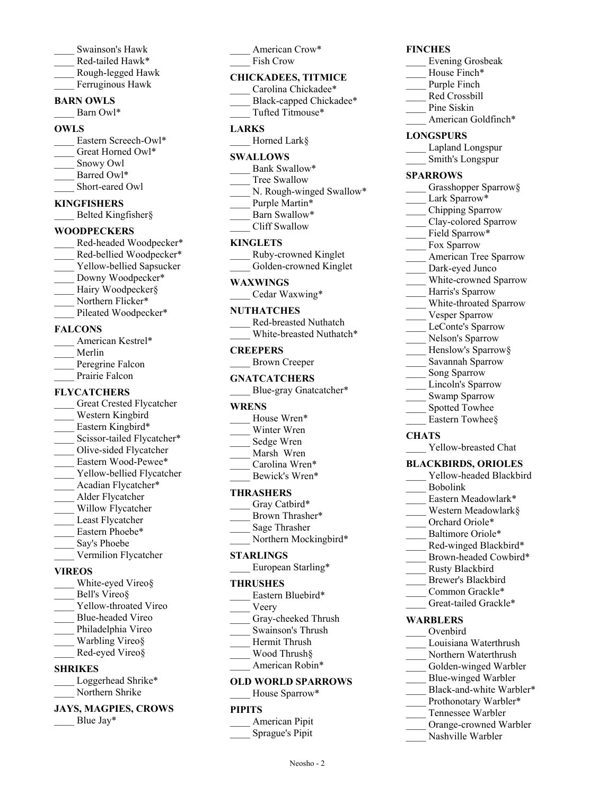- \_\_\_\_ Swainson's Hawk Red-tailed Hawk\*
- \_\_\_\_ Rough-legged Hawk Ferruginous Hawk
- 

## **BARN OWLS**

Barn Owl\*

## **OWLS**

- Eastern Screech-Owl\* Great Horned Owl\*
- \_\_\_\_ Snowy Owl
- Barred Owl\*
- Short-eared Owl

#### **KINGFISHERS**

Belted Kingfisher§

#### **WOODPECKERS**

- Red-headed Woodpecker\* Red-bellied Woodpecker\* Yellow-bellied Sapsucker Downy Woodpecker\* Hairy Woodpecker§ Northern Flicker\*
- Pileated Woodpecker\*

#### **FALCONS**

| American Kestrel* |
|-------------------|
| Merlin            |
| Peregrine Falcon  |
| Prairie Falcon    |

## **FLYCATCHERS**

- Great Crested Flycatcher Western Kingbird Eastern Kingbird\* Scissor-tailed Flycatcher\* \_\_\_\_ Olive-sided Flycatcher Eastern Wood-Pewee\* Yellow-bellied Flycatcher Acadian Flycatcher\* \_\_\_\_ Alder Flycatcher Willow Flycatcher Least Flycatcher Eastern Phoebe\* Say's Phoebe Vermilion Flycatcher **VIREOS**
- White-eyed Vireo§
- Bell's Vireo§
- Yellow-throated Vireo \_\_\_\_ Blue-headed Vireo
- Philadelphia Vireo
- Warbling Vireo§
- Red-eyed Vireo§

### **SHRIKES**

| Loggerhead Shrike* |
|--------------------|
| Northern Shrike    |

#### **JAYS, MAGPIES, CROWS** Blue Jay $*$

American Crow\* Fish Crow

#### **CHICKADEES, TITMICE**

- Carolina Chickadee\* Black-capped Chickadee\*
- \_\_\_\_ Tufted Titmouse\*

### **LARKS**

Horned Lark§

#### **SWALLOWS**

- Bank Swallow\*
- Tree Swallow
- N. Rough-winged Swallow\*
- Purple Martin\*
- Barn Swallow\*
- \_\_\_\_ Cliff Swallow

#### **KINGLETS**

| Ruby-crowned Kinglet   |
|------------------------|
| Golden-crowned Kinglet |

#### **WAXWINGS**

\_\_\_\_ Cedar Waxwing\*

#### **NUTHATCHES**

| <b>Red-breasted Nuthatch</b> |
|------------------------------|
| White-breasted Nuthatch*     |

#### **CREEPERS**

## \_\_\_\_ Brown Creeper

## **GNATCATCHERS**

\_\_\_\_ Blue-gray Gnatcatcher\*

#### **WRENS**

- House Wren\*
- Winter Wren
- Sedge Wren
- Marsh Wren
- Carolina Wren\* Bewick's Wren\*

#### **THRASHERS**

- Gray Catbird\*
- Brown Thrasher\*
- \_\_\_\_ Sage Thrasher
- Northern Mockingbird\*

#### **STARLINGS**

European Starling\*

#### **THRUSHES**

- Eastern Bluebird\*
- \_\_\_\_ Veery
- Gray-cheeked Thrush
- \_\_\_\_ Swainson's Thrush
- \_\_\_\_ Hermit Thrush
- \_\_\_\_ Wood Thrush§ American Robin\*

# **OLD WORLD SPARROWS**

## House Sparrow\*

### **PIPITS**

\_\_\_\_ American Pipit \_\_\_\_ Sprague's Pipit

Neosho - 2

## **FINCHES**

- \_\_\_\_ Evening Grosbeak
- House Finch\*
- Purple Finch
- Red Crossbill
- Pine Siskin
	- American Goldfinch\*

#### **LONGSPURS**

- \_\_\_\_ Lapland Longspur
- \_\_\_\_ Smith's Longspur

#### **SPARROWS**

- Grasshopper Sparrow§
- Lark Sparrow\*
- \_\_\_\_ Chipping Sparrow
- Clay-colored Sparrow
- Field Sparrow\*
- Fox Sparrow
- American Tree Sparrow
- Dark-eyed Junco
- White-crowned Sparrow

Savannah Sparrow Song Sparrow Lincoln's Sparrow Swamp Sparrow Spotted Towhee Eastern Towhee§

Yellow-breasted Chat **BLACKBIRDS, ORIOLES** Yellow-headed Blackbird

> Eastern Meadowlark\* \_\_\_\_ Western Meadowlark§ Orchard Oriole\* Baltimore Oriole\* Red-winged Blackbird\* Brown-headed Cowbird\*

\_\_\_\_ Rusty Blackbird Brewer's Blackbird Common Grackle\* Great-tailed Grackle\*

\_\_\_\_ Louisiana Waterthrush Northern Waterthrush Golden-winged Warbler Blue-winged Warbler Black-and-white Warbler\* Prothonotary Warbler\* \_\_\_\_ Tennessee Warbler Orange-crowned Warbler Nashville Warbler

**WARBLERS** \_\_\_\_ Ovenbird

\_\_\_\_ Bobolink

- Harris's Sparrow White-throated Sparrow
- 
- Vesper Sparrow LeConte's Sparrow
- Nelson's Sparrow
- Henslow's Sparrow§

**CHATS**